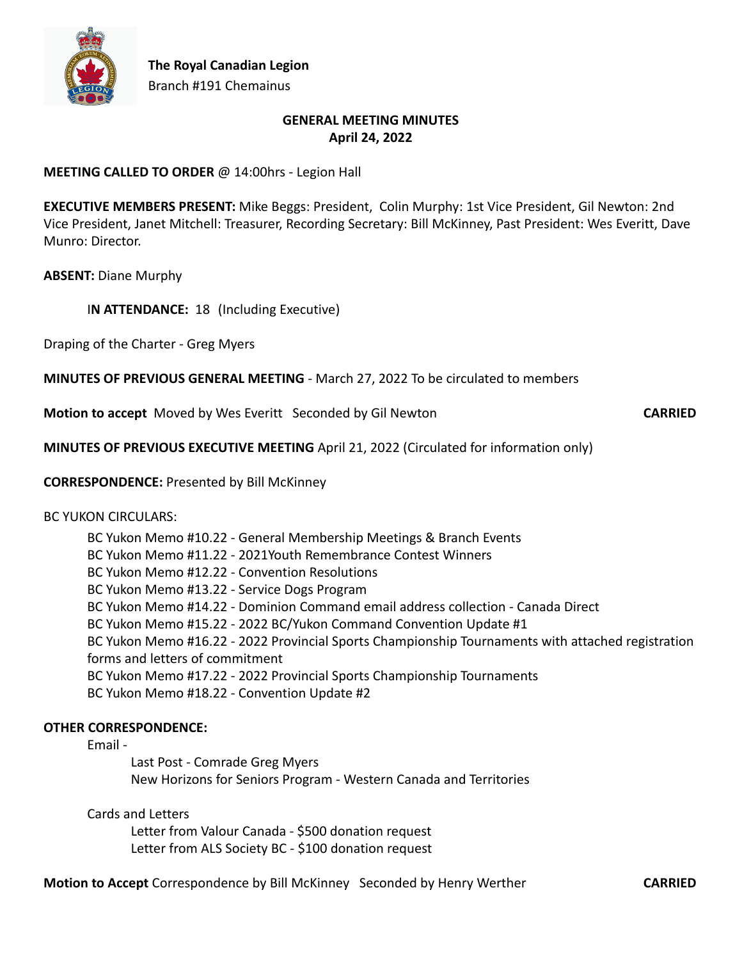

## **GENERAL MEETING MINUTES April 24, 2022**

#### **MEETING CALLED TO ORDER** @ 14:00hrs - Legion Hall

**EXECUTIVE MEMBERS PRESENT:** Mike Beggs: President, Colin Murphy: 1st Vice President, Gil Newton: 2nd Vice President, Janet Mitchell: Treasurer, Recording Secretary: Bill McKinney, Past President: Wes Everitt, Dave Munro: Director.

**ABSENT:** Diane Murphy

I**N ATTENDANCE:** 18 (Including Executive)

Draping of the Charter - Greg Myers

**MINUTES OF PREVIOUS GENERAL MEETING** - March 27, 2022 To be circulated to members

**Motion to accept** Moved by Wes Everitt Seconded by Gil Newton **CARRIED** 

**MINUTES OF PREVIOUS EXECUTIVE MEETING** April 21, 2022 (Circulated for information only)

**CORRESPONDENCE:** Presented by Bill McKinney

#### BC YUKON CIRCULARS:

BC Yukon Memo #10.22 - General Membership Meetings & Branch Events BC Yukon Memo #11.22 - 2021Youth Remembrance Contest Winners BC Yukon Memo #12.22 - Convention Resolutions BC Yukon Memo #13.22 - Service Dogs Program BC Yukon Memo #14.22 - Dominion Command email address collection - Canada Direct BC Yukon Memo #15.22 - 2022 BC/Yukon Command Convention Update #1 BC Yukon Memo #16.22 - 2022 Provincial Sports Championship Tournaments with attached registration forms and letters of commitment BC Yukon Memo #17.22 - 2022 Provincial Sports Championship Tournaments BC Yukon Memo #18.22 - Convention Update #2

## **OTHER CORRESPONDENCE:**

Email -

Last Post - Comrade Greg Myers New Horizons for Seniors Program - Western Canada and Territories

Cards and Letters

Letter from Valour Canada - \$500 donation request Letter from ALS Society BC - \$100 donation request

**Motion to Accept** Correspondence by Bill McKinney Seconded by Henry Werther **CARRIED**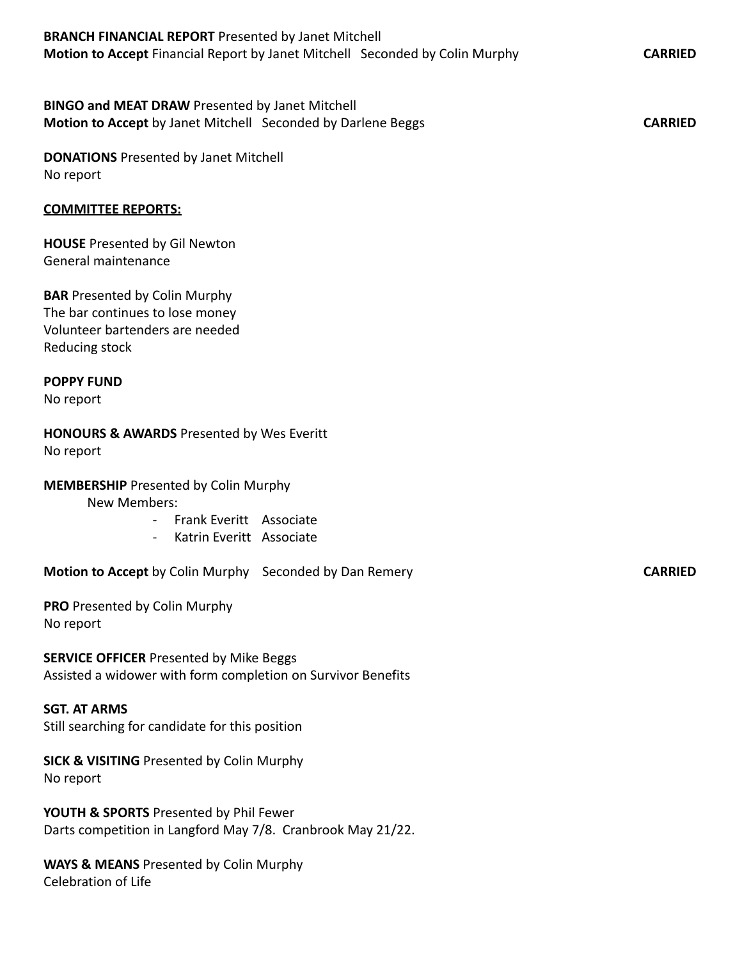| <b>BINGO and MEAT DRAW Presented by Janet Mitchell</b><br>Motion to Accept by Janet Mitchell Seconded by Darlene Beggs<br><b>CARRIED</b> |
|------------------------------------------------------------------------------------------------------------------------------------------|
| <b>DONATIONS</b> Presented by Janet Mitchell<br>No report                                                                                |
| <b>COMMITTEE REPORTS:</b>                                                                                                                |
| <b>HOUSE</b> Presented by Gil Newton<br>General maintenance                                                                              |
| <b>BAR</b> Presented by Colin Murphy<br>The bar continues to lose money<br>Volunteer bartenders are needed<br>Reducing stock             |
| <b>POPPY FUND</b><br>No report                                                                                                           |
| <b>HONOURS &amp; AWARDS</b> Presented by Wes Everitt<br>No report                                                                        |
| <b>MEMBERSHIP</b> Presented by Colin Murphy<br>New Members:<br>Frank Everitt Associate<br>Katrin Everitt Associate<br>$\sim$ $-$         |
| Motion to Accept by Colin Murphy Seconded by Dan Remery<br><b>CARRIED</b>                                                                |
| PRO Presented by Colin Murphy<br>No report                                                                                               |
| <b>SERVICE OFFICER Presented by Mike Beggs</b><br>Assisted a widower with form completion on Survivor Benefits                           |
| <b>SGT. AT ARMS</b><br>Still searching for candidate for this position                                                                   |
| <b>SICK &amp; VISITING Presented by Colin Murphy</b><br>No report                                                                        |

**Motion to Accept** Financial Report by Janet Mitchell Seconded by Colin Murphy **CARRIED** 

**YOUTH & SPORTS** Presented by Phil Fewer Darts competition in Langford May 7/8. Cranbrook May 21/22.

**BRANCH FINANCIAL REPORT** Presented by Janet Mitchell

**WAYS & MEANS** Presented by Colin Murphy Celebration of Life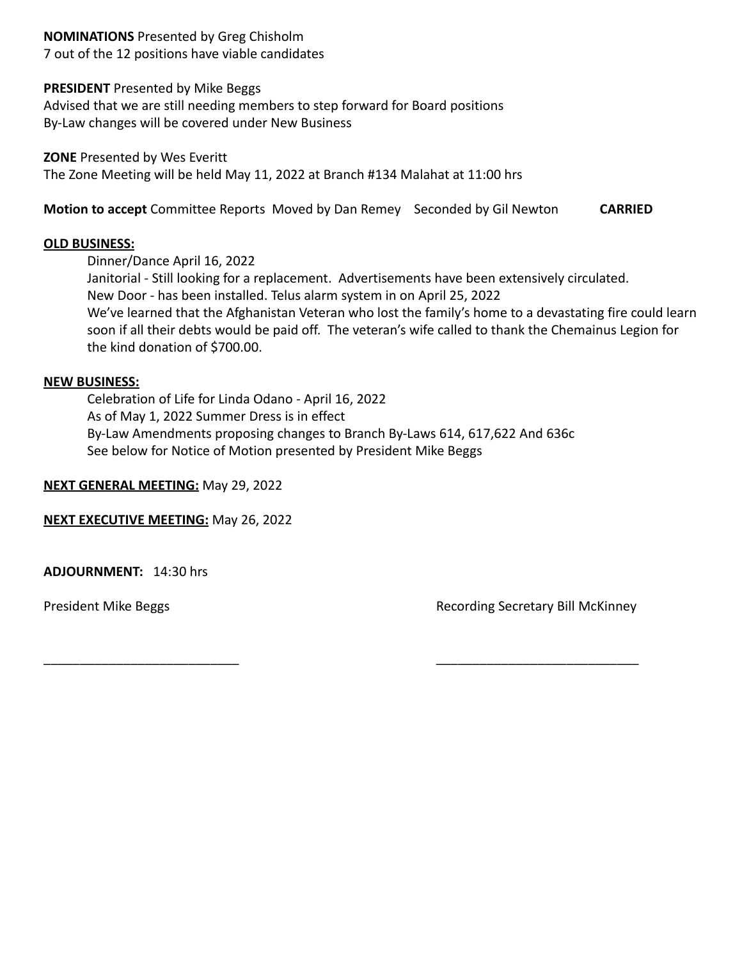### **NOMINATIONS** Presented by Greg Chisholm

7 out of the 12 positions have viable candidates

#### **PRESIDENT** Presented by Mike Beggs

Advised that we are still needing members to step forward for Board positions By-Law changes will be covered under New Business

**ZONE** Presented by Wes Everitt The Zone Meeting will be held May 11, 2022 at Branch #134 Malahat at 11:00 hrs

**Motion to accept** Committee Reports Moved by Dan Remey Seconded by Gil Newton **CARRIED**

#### **OLD BUSINESS:**

Dinner/Dance April 16, 2022

Janitorial - Still looking for a replacement. Advertisements have been extensively circulated. New Door - has been installed. Telus alarm system in on April 25, 2022 We've learned that the Afghanistan Veteran who lost the family's home to a devastating fire could learn soon if all their debts would be paid off. The veteran's wife called to thank the Chemainus Legion for the kind donation of \$700.00.

#### **NEW BUSINESS:**

Celebration of Life for Linda Odano - April 16, 2022 As of May 1, 2022 Summer Dress is in effect By-Law Amendments proposing changes to Branch By-Laws 614, 617,622 And 636c See below for Notice of Motion presented by President Mike Beggs

**NEXT GENERAL MEETING:** May 29, 2022

**NEXT EXECUTIVE MEETING:** May 26, 2022

**ADJOURNMENT:** 14:30 hrs

President Mike Beggs **Recording Secretary Bill McKinney** 

\_\_\_\_\_\_\_\_\_\_\_\_\_\_\_\_\_\_\_\_\_\_\_\_\_\_\_ \_\_\_\_\_\_\_\_\_\_\_\_\_\_\_\_\_\_\_\_\_\_\_\_\_\_\_\_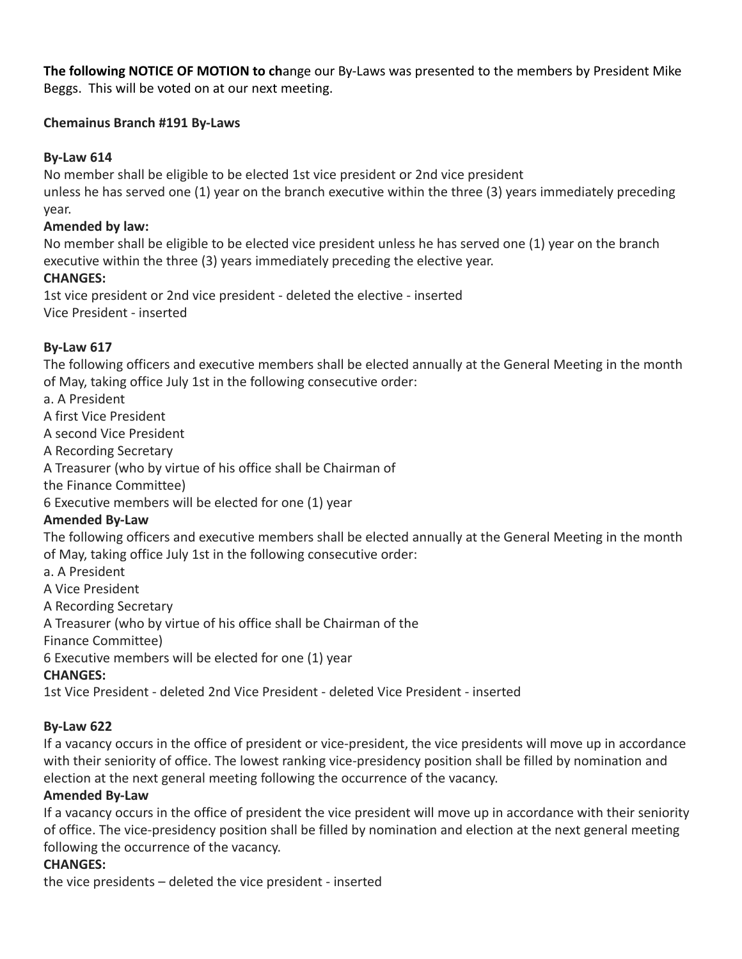**The following NOTICE OF MOTION to ch**ange our By-Laws was presented to the members by President Mike Beggs. This will be voted on at our next meeting.

# **Chemainus Branch #191 By-Laws**

# **By-Law 614**

No member shall be eligible to be elected 1st vice president or 2nd vice president unless he has served one (1) year on the branch executive within the three (3) years immediately preceding year.

# **Amended by law:**

No member shall be eligible to be elected vice president unless he has served one (1) year on the branch executive within the three (3) years immediately preceding the elective year.

# **CHANGES:**

1st vice president or 2nd vice president - deleted the elective - inserted Vice President - inserted

# **By-Law 617**

The following officers and executive members shall be elected annually at the General Meeting in the month of May, taking office July 1st in the following consecutive order:

a. A President

A first Vice President

A second Vice President

A Recording Secretary

A Treasurer (who by virtue of his office shall be Chairman of

the Finance Committee)

6 Executive members will be elected for one (1) year

## **Amended By-Law**

The following officers and executive members shall be elected annually at the General Meeting in the month of May, taking office July 1st in the following consecutive order:

a. A President

A Vice President

A Recording Secretary

A Treasurer (who by virtue of his office shall be Chairman of the

Finance Committee)

6 Executive members will be elected for one (1) year

## **CHANGES:**

1st Vice President - deleted 2nd Vice President - deleted Vice President - inserted

# **By-Law 622**

If a vacancy occurs in the office of president or vice-president, the vice presidents will move up in accordance with their seniority of office. The lowest ranking vice-presidency position shall be filled by nomination and election at the next general meeting following the occurrence of the vacancy.

## **Amended By-Law**

If a vacancy occurs in the office of president the vice president will move up in accordance with their seniority of office. The vice-presidency position shall be filled by nomination and election at the next general meeting following the occurrence of the vacancy.

# **CHANGES:**

the vice presidents – deleted the vice president - inserted